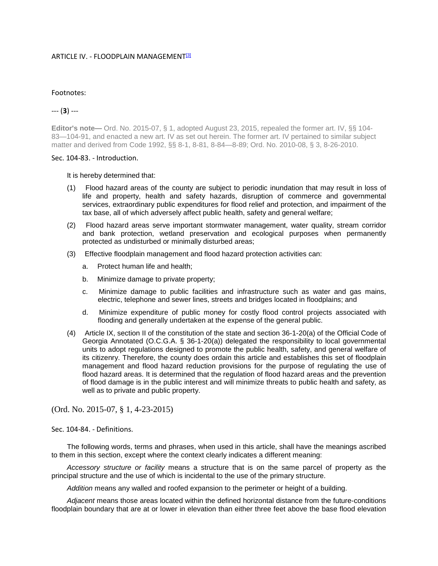### ARTICLE IV. - FLOODPLAIN MANAGEMENT<sup>[3]</sup>

#### Footnotes:

# --- (**3**) ---

**Editor's note—** Ord. No. 2015-07, § 1, adopted August 23, 2015, repealed the former art. IV, §§ 104- 83-104-91, and enacted a new art. IV as set out herein. The former art. IV pertained to similar subject matter and derived from Code 1992, §§ 8-1, 8-81, 8-84—8-89; Ord. No. 2010-08, § 3, 8-26-2010.

#### Sec. 104-83. - Introduction.

It is hereby determined that:

- (1) Flood hazard areas of the county are subject to periodic inundation that may result in loss of life and property, health and safety hazards, disruption of commerce and governmental services, extraordinary public expenditures for flood relief and protection, and impairment of the tax base, all of which adversely affect public health, safety and general welfare;
- (2) Flood hazard areas serve important stormwater management, water quality, stream corridor and bank protection, wetland preservation and ecological purposes when permanently protected as undisturbed or minimally disturbed areas;
- (3) Effective floodplain management and flood hazard protection activities can:
	- a. Protect human life and health;
	- b. Minimize damage to private property;
	- c. Minimize damage to public facilities and infrastructure such as water and gas mains, electric, telephone and sewer lines, streets and bridges located in floodplains; and
	- d. Minimize expenditure of public money for costly flood control projects associated with flooding and generally undertaken at the expense of the general public.
- (4) Article IX, section II of the constitution of the state and section 36-1-20(a) of the Official Code of Georgia Annotated (O.C.G.A. § 36-1-20(a)) delegated the responsibility to local governmental units to adopt regulations designed to promote the public health, safety, and general welfare of its citizenry. Therefore, the county does ordain this article and establishes this set of floodplain management and flood hazard reduction provisions for the purpose of regulating the use of flood hazard areas. It is determined that the regulation of flood hazard areas and the prevention of flood damage is in the public interest and will minimize threats to public health and safety, as well as to private and public property.

(Ord. No. 2015-07, § 1, 4-23-2015)

Sec. 104-84. - Definitions.

The following words, terms and phrases, when used in this article, shall have the meanings ascribed to them in this section, except where the context clearly indicates a different meaning:

*Accessory structure or facility* means a structure that is on the same parcel of property as the principal structure and the use of which is incidental to the use of the primary structure.

*Addition* means any walled and roofed expansion to the perimeter or height of a building.

*Adjacent* means those areas located within the defined horizontal distance from the future-conditions floodplain boundary that are at or lower in elevation than either three feet above the base flood elevation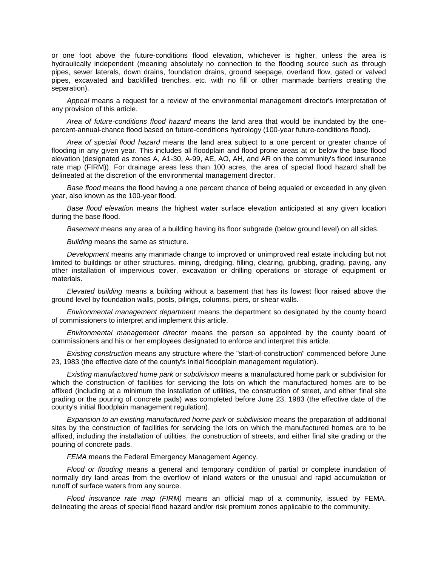or one foot above the future-conditions flood elevation, whichever is higher, unless the area is hydraulically independent (meaning absolutely no connection to the flooding source such as through pipes, sewer laterals, down drains, foundation drains, ground seepage, overland flow, gated or valved pipes, excavated and backfilled trenches, etc. with no fill or other manmade barriers creating the separation).

*Appeal* means a request for a review of the environmental management director's interpretation of any provision of this article.

*Area of future-conditions flood hazard* means the land area that would be inundated by the onepercent-annual-chance flood based on future-conditions hydrology (100-year future-conditions flood).

*Area of special flood hazard* means the land area subject to a one percent or greater chance of flooding in any given year. This includes all floodplain and flood prone areas at or below the base flood elevation (designated as zones A, A1-30, A-99, AE, AO, AH, and AR on the community's flood insurance rate map (FIRM)). For drainage areas less than 100 acres, the area of special flood hazard shall be delineated at the discretion of the environmental management director.

*Base flood* means the flood having a one percent chance of being equaled or exceeded in any given year, also known as the 100-year flood.

*Base flood elevation* means the highest water surface elevation anticipated at any given location during the base flood.

*Basement* means any area of a building having its floor subgrade (below ground level) on all sides.

*Building* means the same as structure.

*Development* means any manmade change to improved or unimproved real estate including but not limited to buildings or other structures, mining, dredging, filling, clearing, grubbing, grading, paving, any other installation of impervious cover, excavation or drilling operations or storage of equipment or materials.

*Elevated building* means a building without a basement that has its lowest floor raised above the ground level by foundation walls, posts, pilings, columns, piers, or shear walls.

*Environmental management department* means the department so designated by the county board of commissioners to interpret and implement this article.

*Environmental management director* means the person so appointed by the county board of commissioners and his or her employees designated to enforce and interpret this article.

*Existing construction* means any structure where the "start-of-construction" commenced before June 23, 1983 (the effective date of the county's initial floodplain management regulation).

*Existing manufactured home park* or *subdivision* means a manufactured home park or subdivision for which the construction of facilities for servicing the lots on which the manufactured homes are to be affixed (including at a minimum the installation of utilities, the construction of street, and either final site grading or the pouring of concrete pads) was completed before June 23, 1983 (the effective date of the county's initial floodplain management regulation).

*Expansion to an existing manufactured home park* or *subdivision* means the preparation of additional sites by the construction of facilities for servicing the lots on which the manufactured homes are to be affixed, including the installation of utilities, the construction of streets, and either final site grading or the pouring of concrete pads.

*FEMA* means the Federal Emergency Management Agency.

*Flood or flooding* means a general and temporary condition of partial or complete inundation of normally dry land areas from the overflow of inland waters or the unusual and rapid accumulation or runoff of surface waters from any source.

*Flood insurance rate map (FIRM)* means an official map of a community, issued by FEMA, delineating the areas of special flood hazard and/or risk premium zones applicable to the community.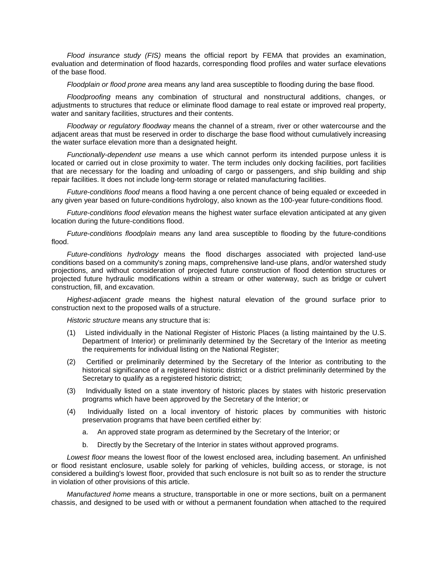*Flood insurance study (FIS)* means the official report by FEMA that provides an examination, evaluation and determination of flood hazards, corresponding flood profiles and water surface elevations of the base flood.

*Floodplain or flood prone area* means any land area susceptible to flooding during the base flood.

*Floodproofing* means any combination of structural and nonstructural additions, changes, or adjustments to structures that reduce or eliminate flood damage to real estate or improved real property, water and sanitary facilities, structures and their contents.

*Floodway or regulatory floodway* means the channel of a stream, river or other watercourse and the adjacent areas that must be reserved in order to discharge the base flood without cumulatively increasing the water surface elevation more than a designated height.

*Functionally-dependent use* means a use which cannot perform its intended purpose unless it is located or carried out in close proximity to water. The term includes only docking facilities, port facilities that are necessary for the loading and unloading of cargo or passengers, and ship building and ship repair facilities. It does not include long-term storage or related manufacturing facilities.

*Future-conditions flood* means a flood having a one percent chance of being equaled or exceeded in any given year based on future-conditions hydrology, also known as the 100-year future-conditions flood.

*Future-conditions flood elevation* means the highest water surface elevation anticipated at any given location during the future-conditions flood.

*Future-conditions floodplain* means any land area susceptible to flooding by the future-conditions flood.

*Future-conditions hydrology* means the flood discharges associated with projected land-use conditions based on a community's zoning maps, comprehensive land-use plans, and/or watershed study projections, and without consideration of projected future construction of flood detention structures or projected future hydraulic modifications within a stream or other waterway, such as bridge or culvert construction, fill, and excavation.

*Highest-adjacent grade* means the highest natural elevation of the ground surface prior to construction next to the proposed walls of a structure.

*Historic structure* means any structure that is:

- (1) Listed individually in the National Register of Historic Places (a listing maintained by the U.S. Department of Interior) or preliminarily determined by the Secretary of the Interior as meeting the requirements for individual listing on the National Register;
- (2) Certified or preliminarily determined by the Secretary of the Interior as contributing to the historical significance of a registered historic district or a district preliminarily determined by the Secretary to qualify as a registered historic district;
- (3) Individually listed on a state inventory of historic places by states with historic preservation programs which have been approved by the Secretary of the Interior; or
- (4) Individually listed on a local inventory of historic places by communities with historic preservation programs that have been certified either by:
	- a. An approved state program as determined by the Secretary of the Interior; or
	- b. Directly by the Secretary of the Interior in states without approved programs.

*Lowest floor* means the lowest floor of the lowest enclosed area, including basement. An unfinished or flood resistant enclosure, usable solely for parking of vehicles, building access, or storage, is not considered a building's lowest floor, provided that such enclosure is not built so as to render the structure in violation of other provisions of this article.

*Manufactured home* means a structure, transportable in one or more sections, built on a permanent chassis, and designed to be used with or without a permanent foundation when attached to the required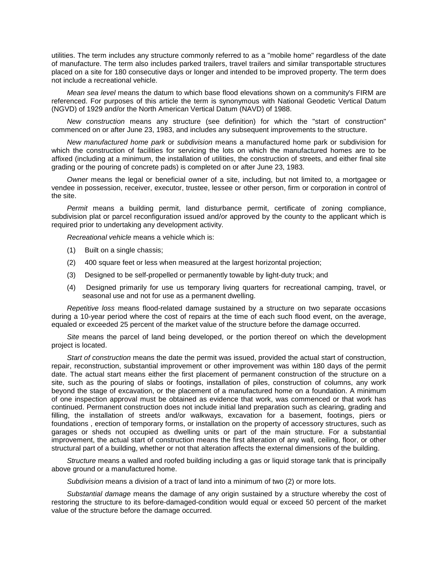utilities. The term includes any structure commonly referred to as a "mobile home" regardless of the date of manufacture. The term also includes parked trailers, travel trailers and similar transportable structures placed on a site for 180 consecutive days or longer and intended to be improved property. The term does not include a recreational vehicle.

*Mean sea level* means the datum to which base flood elevations shown on a community's FIRM are referenced. For purposes of this article the term is synonymous with National Geodetic Vertical Datum (NGVD) of 1929 and/or the North American Vertical Datum (NAVD) of 1988.

*New construction* means any structure (see definition) for which the "start of construction" commenced on or after June 23, 1983, and includes any subsequent improvements to the structure.

*New manufactured home park* or *subdivision* means a manufactured home park or subdivision for which the construction of facilities for servicing the lots on which the manufactured homes are to be affixed (including at a minimum, the installation of utilities, the construction of streets, and either final site grading or the pouring of concrete pads) is completed on or after June 23, 1983.

*Owner* means the legal or beneficial owner of a site, including, but not limited to, a mortgagee or vendee in possession, receiver, executor, trustee, lessee or other person, firm or corporation in control of the site.

*Permit* means a building permit, land disturbance permit, certificate of zoning compliance, subdivision plat or parcel reconfiguration issued and/or approved by the county to the applicant which is required prior to undertaking any development activity.

*Recreational vehicle* means a vehicle which is:

- (1) Built on a single chassis;
- (2) 400 square feet or less when measured at the largest horizontal projection;
- (3) Designed to be self-propelled or permanently towable by light-duty truck; and
- (4) Designed primarily for use us temporary living quarters for recreational camping, travel, or seasonal use and not for use as a permanent dwelling.

*Repetitive loss* means flood-related damage sustained by a structure on two separate occasions during a 10-year period where the cost of repairs at the time of each such flood event, on the average, equaled or exceeded 25 percent of the market value of the structure before the damage occurred.

*Site* means the parcel of land being developed, or the portion thereof on which the development project is located.

*Start of construction* means the date the permit was issued, provided the actual start of construction, repair, reconstruction, substantial improvement or other improvement was within 180 days of the permit date. The actual start means either the first placement of permanent construction of the structure on a site, such as the pouring of slabs or footings, installation of piles, construction of columns, any work beyond the stage of excavation, or the placement of a manufactured home on a foundation. A minimum of one inspection approval must be obtained as evidence that work, was commenced or that work has continued. Permanent construction does not include initial land preparation such as clearing, grading and filling, the installation of streets and/or walkways, excavation for a basement, footings, piers or foundations , erection of temporary forms, or installation on the property of accessory structures, such as garages or sheds not occupied as dwelling units or part of the main structure. For a substantial improvement, the actual start of construction means the first alteration of any wall, ceiling, floor, or other structural part of a building, whether or not that alteration affects the external dimensions of the building.

*Structure* means a walled and roofed building including a gas or liquid storage tank that is principally above ground or a manufactured home.

*Subdivision* means a division of a tract of land into a minimum of two (2) or more lots.

*Substantial damage* means the damage of any origin sustained by a structure whereby the cost of restoring the structure to its before-damaged-condition would equal or exceed 50 percent of the market value of the structure before the damage occurred.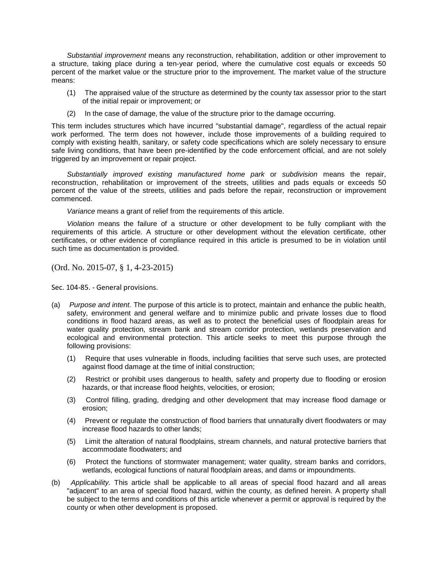*Substantial improvement* means any reconstruction, rehabilitation, addition or other improvement to a structure, taking place during a ten-year period, where the cumulative cost equals or exceeds 50 percent of the market value or the structure prior to the improvement. The market value of the structure means:

- (1) The appraised value of the structure as determined by the county tax assessor prior to the start of the initial repair or improvement; or
- (2) In the case of damage, the value of the structure prior to the damage occurring.

This term includes structures which have incurred "substantial damage", regardless of the actual repair work performed. The term does not however, include those improvements of a building required to comply with existing health, sanitary, or safety code specifications which are solely necessary to ensure safe living conditions, that have been pre-identified by the code enforcement official, and are not solely triggered by an improvement or repair project.

*Substantially improved existing manufactured home park* or *subdivision* means the repair, reconstruction, rehabilitation or improvement of the streets, utilities and pads equals or exceeds 50 percent of the value of the streets, utilities and pads before the repair, reconstruction or improvement commenced.

*Variance* means a grant of relief from the requirements of this article.

*Violation* means the failure of a structure or other development to be fully compliant with the requirements of this article. A structure or other development without the elevation certificate, other certificates, or other evidence of compliance required in this article is presumed to be in violation until such time as documentation is provided.

(Ord. No. 2015-07, § 1, 4-23-2015)

Sec. 104-85. - General provisions.

- (a) *Purpose and intent.* The purpose of this article is to protect, maintain and enhance the public health, safety, environment and general welfare and to minimize public and private losses due to flood conditions in flood hazard areas, as well as to protect the beneficial uses of floodplain areas for water quality protection, stream bank and stream corridor protection, wetlands preservation and ecological and environmental protection. This article seeks to meet this purpose through the following provisions:
	- (1) Require that uses vulnerable in floods, including facilities that serve such uses, are protected against flood damage at the time of initial construction;
	- (2) Restrict or prohibit uses dangerous to health, safety and property due to flooding or erosion hazards, or that increase flood heights, velocities, or erosion;
	- (3) Control filling, grading, dredging and other development that may increase flood damage or erosion;
	- (4) Prevent or regulate the construction of flood barriers that unnaturally divert floodwaters or may increase flood hazards to other lands;
	- (5) Limit the alteration of natural floodplains, stream channels, and natural protective barriers that accommodate floodwaters; and
	- (6) Protect the functions of stormwater management; water quality, stream banks and corridors, wetlands, ecological functions of natural floodplain areas, and dams or impoundments.
- (b) *Applicability.* This article shall be applicable to all areas of special flood hazard and all areas "adjacent" to an area of special flood hazard, within the county, as defined herein. A property shall be subject to the terms and conditions of this article whenever a permit or approval is required by the county or when other development is proposed.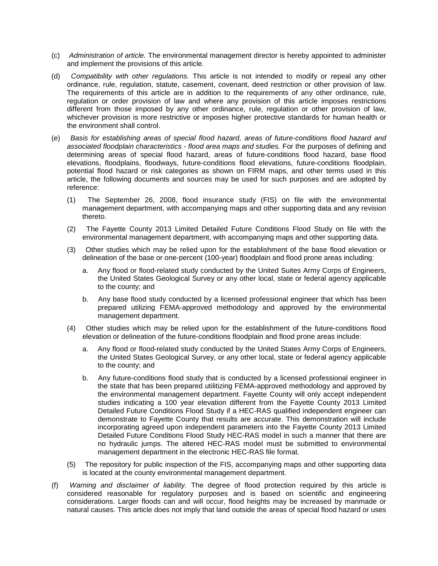- (c) *Administration of article.* The environmental management director is hereby appointed to administer and implement the provisions of this article.
- (d) *Compatibility with other regulations.* This article is not intended to modify or repeal any other ordinance, rule, regulation, statute, casement, covenant, deed restriction or other provision of law. The requirements of this article are in addition to the requirements of any other ordinance, rule, regulation or order provision of law and where any provision of this article imposes restrictions different from those imposed by any other ordinance, rule, regulation or other provision of law, whichever provision is more restrictive or imposes higher protective standards for human health or the environment shall control.
- (e) *Basis for establishing areas of special flood hazard, areas of future-conditions flood hazard and associated floodplain characteristics - flood area maps and studies.* For the purposes of defining and determining areas of special flood hazard, areas of future-conditions flood hazard, base flood elevations, floodplains, floodways, future-conditions flood elevations, future-conditions floodplain, potential flood hazard or risk categories as shown on FIRM maps, and other terms used in this article, the following documents and sources may be used for such purposes and are adopted by reference:
	- (1) The September 26, 2008, flood insurance study (FIS) on file with the environmental management department, with accompanying maps and other supporting data and any revision thereto.
	- (2) The Fayette County 2013 Limited Detailed Future Conditions Flood Study on file with the environmental management department, with accompanying maps and other supporting data.
	- (3) Other studies which may be relied upon for the establishment of the base flood elevation or delineation of the base or one-percent (100-year) floodplain and flood prone areas including:
		- a. Any flood or flood-related study conducted by the United Suites Army Corps of Engineers, the United States Geological Survey or any other local, state or federal agency applicable to the county; and
		- b. Any base flood study conducted by a licensed professional engineer that which has been prepared utilizing FEMA-approved methodology and approved by the environmental management department.
	- (4) Other studies which may be relied upon for the establishment of the future-conditions flood elevation or delineation of the future-conditions floodplain and flood prone areas include:
		- a. Any flood or flood-related study conducted by the United States Army Corps of Engineers, the United States Geological Survey, or any other local, state or federal agency applicable to the county; and
		- b. Any future-conditions flood study that is conducted by a licensed professional engineer in the state that has been prepared utilitizing FEMA-approved methodology and approved by the environmental management department. Fayette County will only accept independent studies indicating a 100 year elevation different from the Fayette County 2013 Limited Detailed Future Conditions Flood Study if a HEC-RAS qualified independent engineer can demonstrate to Fayette County that results are accurate. This demonstration will include incorporating agreed upon independent parameters into the Fayette County 2013 Limited Detailed Future Conditions Flood Study HEC-RAS model in such a manner that there are no hydraulic jumps. The altered HEC-RAS model must be submitted to environmental management department in the electronic HEC-RAS file format.
	- (5) The repository for public inspection of the FIS, accompanying maps and other supporting data is located at the county environmental management department.
- (f) *Warning and disclaimer of liability.* The degree of flood protection required by this article is considered reasonable for regulatory purposes and is based on scientific and engineering considerations. Larger floods can and will occur, flood heights may be increased by manmade or natural causes. This article does not imply that land outside the areas of special flood hazard or uses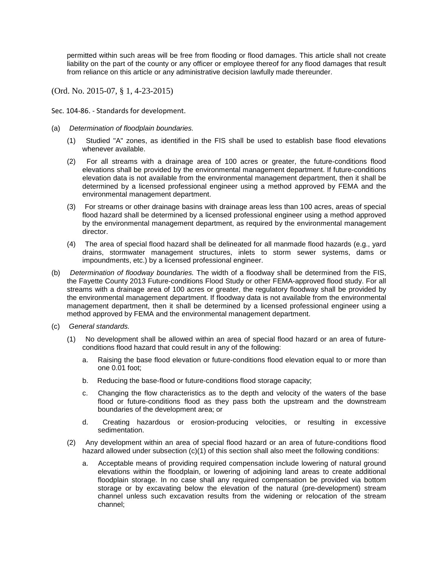permitted within such areas will be free from flooding or flood damages. This article shall not create liability on the part of the county or any officer or employee thereof for any flood damages that result from reliance on this article or any administrative decision lawfully made thereunder.

(Ord. No. 2015-07, § 1, 4-23-2015)

Sec. 104-86. - Standards for development.

- (a) *Determination of floodplain boundaries.*
	- (1) Studied "A" zones, as identified in the FIS shall be used to establish base flood elevations whenever available.
	- (2) For all streams with a drainage area of 100 acres or greater, the future-conditions flood elevations shall be provided by the environmental management department. If future-conditions elevation data is not available from the environmental management department, then it shall be determined by a licensed professional engineer using a method approved by FEMA and the environmental management department.
	- (3) For streams or other drainage basins with drainage areas less than 100 acres, areas of special flood hazard shall be determined by a licensed professional engineer using a method approved by the environmental management department, as required by the environmental management director.
	- (4) The area of special flood hazard shall be delineated for all manmade flood hazards (e.g., yard drains, stormwater management structures, inlets to storm sewer systems, dams or impoundments, etc.) by a licensed professional engineer.
- (b) *Determination of floodway boundaries.* The width of a floodway shall be determined from the FIS, the Fayette County 2013 Future-conditions Flood Study or other FEMA-approved flood study. For all streams with a drainage area of 100 acres or greater, the regulatory floodway shall be provided by the environmental management department. If floodway data is not available from the environmental management department, then it shall be determined by a licensed professional engineer using a method approved by FEMA and the environmental management department.
- (c) *General standards.*
	- (1) No development shall be allowed within an area of special flood hazard or an area of futureconditions flood hazard that could result in any of the following:
		- a. Raising the base flood elevation or future-conditions flood elevation equal to or more than one 0.01 foot;
		- b. Reducing the base-flood or future-conditions flood storage capacity;
		- c. Changing the flow characteristics as to the depth and velocity of the waters of the base flood or future-conditions flood as they pass both the upstream and the downstream boundaries of the development area; or
		- d. Creating hazardous or erosion-producing velocities, or resulting in excessive sedimentation.
	- (2) Any development within an area of special flood hazard or an area of future-conditions flood hazard allowed under subsection (c)(1) of this section shall also meet the following conditions:
		- a. Acceptable means of providing required compensation include lowering of natural ground elevations within the floodplain, or lowering of adjoining land areas to create additional floodplain storage. In no case shall any required compensation be provided via bottom storage or by excavating below the elevation of the natural (pre-development) stream channel unless such excavation results from the widening or relocation of the stream channel;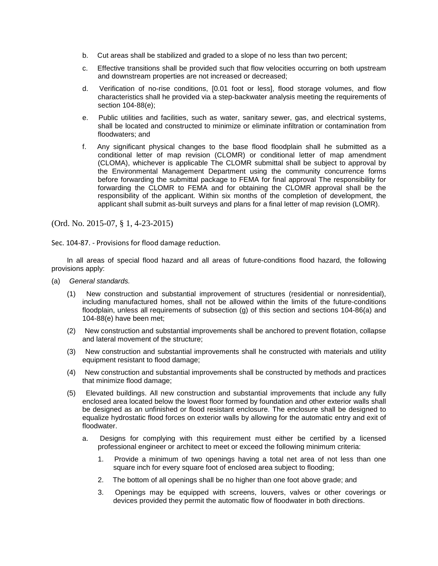- b. Cut areas shall be stabilized and graded to a slope of no less than two percent;
- c. Effective transitions shall be provided such that flow velocities occurring on both upstream and downstream properties are not increased or decreased;
- d. Verification of no-rise conditions, [0.01 foot or less], flood storage volumes, and flow characteristics shall he provided via a step-backwater analysis meeting the requirements of section 104-88(e);
- e. Public utilities and facilities, such as water, sanitary sewer, gas, and electrical systems, shall be located and constructed to minimize or eliminate infiltration or contamination from floodwaters; and
- f. Any significant physical changes to the base flood floodplain shall he submitted as a conditional letter of map revision (CLOMR) or conditional letter of map amendment (CLOMA), whichever is applicable The CLOMR submittal shall be subject to approval by the Environmental Management Department using the community concurrence forms before forwarding the submittal package to FEMA for final approval The responsibility for forwarding the CLOMR to FEMA and for obtaining the CLOMR approval shall be the responsibility of the applicant. Within six months of the completion of development, the applicant shall submit as-built surveys and plans for a final letter of map revision (LOMR).

Sec. 104-87. - Provisions for flood damage reduction.

In all areas of special flood hazard and all areas of future-conditions flood hazard, the following provisions apply:

- (a) *General standards.*
	- (1) New construction and substantial improvement of structures (residential or nonresidential), including manufactured homes, shall not be allowed within the limits of the future-conditions floodplain, unless all requirements of subsection (g) of this section and sections 104-86(a) and 104-88(e) have been met;
	- (2) New construction and substantial improvements shall be anchored to prevent flotation, collapse and lateral movement of the structure;
	- (3) New construction and substantial improvements shall he constructed with materials and utility equipment resistant to flood damage;
	- (4) New construction and substantial improvements shall be constructed by methods and practices that minimize flood damage;
	- (5) Elevated buildings. All new construction and substantial improvements that include any fully enclosed area located below the lowest floor formed by foundation and other exterior walls shall be designed as an unfinished or flood resistant enclosure. The enclosure shall be designed to equalize hydrostatic flood forces on exterior walls by allowing for the automatic entry and exit of floodwater.
		- a. Designs for complying with this requirement must either be certified by a licensed professional engineer or architect to meet or exceed the following minimum criteria:
			- 1. Provide a minimum of two openings having a total net area of not less than one square inch for every square foot of enclosed area subject to flooding;
			- 2. The bottom of all openings shall be no higher than one foot above grade; and
			- 3. Openings may be equipped with screens, louvers, valves or other coverings or devices provided they permit the automatic flow of floodwater in both directions.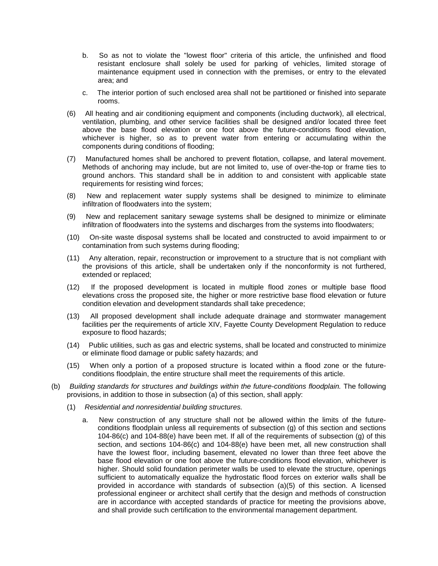- b. So as not to violate the "lowest floor" criteria of this article, the unfinished and flood resistant enclosure shall solely be used for parking of vehicles, limited storage of maintenance equipment used in connection with the premises, or entry to the elevated area; and
- c. The interior portion of such enclosed area shall not be partitioned or finished into separate rooms.
- (6) All heating and air conditioning equipment and components (including ductwork), all electrical, ventilation, plumbing, and other service facilities shall be designed and/or located three feet above the base flood elevation or one foot above the future-conditions flood elevation, whichever is higher, so as to prevent water from entering or accumulating within the components during conditions of flooding;
- (7) Manufactured homes shall be anchored to prevent flotation, collapse, and lateral movement. Methods of anchoring may include, but are not limited to, use of over-the-top or frame ties to ground anchors. This standard shall be in addition to and consistent with applicable state requirements for resisting wind forces;
- (8) New and replacement water supply systems shall be designed to minimize to eliminate infiltration of floodwaters into the system;
- (9) New and replacement sanitary sewage systems shall be designed to minimize or eliminate infiltration of floodwaters into the systems and discharges from the systems into floodwaters;
- (10) On-site waste disposal systems shall be located and constructed to avoid impairment to or contamination from such systems during flooding;
- (11) Any alteration, repair, reconstruction or improvement to a structure that is not compliant with the provisions of this article, shall be undertaken only if the nonconformity is not furthered, extended or replaced;
- (12) If the proposed development is located in multiple flood zones or multiple base flood elevations cross the proposed site, the higher or more restrictive base flood elevation or future condition elevation and development standards shall take precedence;
- (13) All proposed development shall include adequate drainage and stormwater management facilities per the requirements of article XIV, Fayette County Development Regulation to reduce exposure to flood hazards;
- (14) Public utilities, such as gas and electric systems, shall be located and constructed to minimize or eliminate flood damage or public safety hazards; and
- (15) When only a portion of a proposed structure is located within a flood zone or the futureconditions floodplain, the entire structure shall meet the requirements of this article.
- (b) *Building standards for structures and buildings within the future-conditions floodplain.* The following provisions, in addition to those in subsection (a) of this section, shall apply:
	- (1) *Residential and nonresidential building structures.*
		- a. New construction of any structure shall not be allowed within the limits of the futureconditions floodplain unless all requirements of subsection (g) of this section and sections 104-86(c) and 104-88(e) have been met. If all of the requirements of subsection (g) of this section, and sections 104-86(c) and 104-88(e) have been met, all new construction shall have the lowest floor, including basement, elevated no lower than three feet above the base flood elevation or one foot above the future-conditions flood elevation, whichever is higher. Should solid foundation perimeter walls be used to elevate the structure, openings sufficient to automatically equalize the hydrostatic flood forces on exterior walls shall be provided in accordance with standards of subsection (a)(5) of this section. A licensed professional engineer or architect shall certify that the design and methods of construction are in accordance with accepted standards of practice for meeting the provisions above, and shall provide such certification to the environmental management department.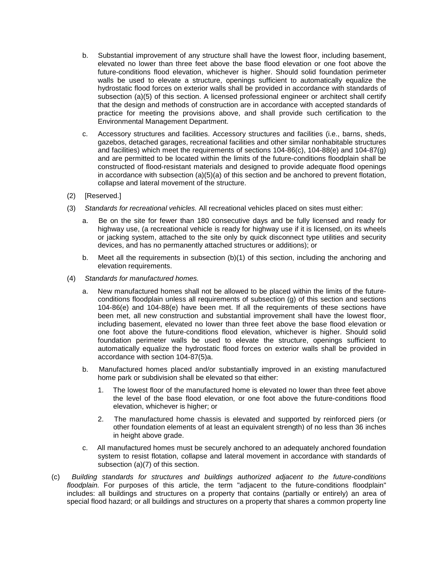- b. Substantial improvement of any structure shall have the lowest floor, including basement, elevated no lower than three feet above the base flood elevation or one foot above the future-conditions flood elevation, whichever is higher. Should solid foundation perimeter walls be used to elevate a structure, openings sufficient to automatically equalize the hydrostatic flood forces on exterior walls shall be provided in accordance with standards of subsection (a)(5) of this section. A licensed professional engineer or architect shall certify that the design and methods of construction are in accordance with accepted standards of practice for meeting the provisions above, and shall provide such certification to the Environmental Management Department.
- c. Accessory structures and facilities. Accessory structures and facilities (i.e., barns, sheds, gazebos, detached garages, recreational facilities and other similar nonhabitable structures and facilities) which meet the requirements of sections 104-86(c), 104-88(e) and 104-87(g) and are permitted to be located within the limits of the future-conditions floodplain shall be constructed of flood-resistant materials and designed to provide adequate flood openings in accordance with subsection (a)(5)(a) of this section and be anchored to prevent flotation, collapse and lateral movement of the structure.
- (2) [Reserved.]
- (3) *Standards for recreational vehicles.* All recreational vehicles placed on sites must either:
	- a. Be on the site for fewer than 180 consecutive days and be fully licensed and ready for highway use, (a recreational vehicle is ready for highway use if it is licensed, on its wheels or jacking system, attached to the site only by quick disconnect type utilities and security devices, and has no permanently attached structures or additions); or
	- b. Meet all the requirements in subsection  $(b)(1)$  of this section, including the anchoring and elevation requirements.
- (4) *Standards for manufactured homes.*
	- a. New manufactured homes shall not be allowed to be placed within the limits of the futureconditions floodplain unless all requirements of subsection (g) of this section and sections 104-86(e) and 104-88(e) have been met. If all the requirements of these sections have been met, all new construction and substantial improvement shall have the lowest floor, including basement, elevated no lower than three feet above the base flood elevation or one foot above the future-conditions flood elevation, whichever is higher. Should solid foundation perimeter walls be used to elevate the structure, openings sufficient to automatically equalize the hydrostatic flood forces on exterior walls shall be provided in accordance with section 104-87(5)a.
	- b. Manufactured homes placed and/or substantially improved in an existing manufactured home park or subdivision shall be elevated so that either:
		- 1. The lowest floor of the manufactured home is elevated no lower than three feet above the level of the base flood elevation, or one foot above the future-conditions flood elevation, whichever is higher; or
		- 2. The manufactured home chassis is elevated and supported by reinforced piers (or other foundation elements of at least an equivalent strength) of no less than 36 inches in height above grade.
	- c. All manufactured homes must be securely anchored to an adequately anchored foundation system to resist flotation, collapse and lateral movement in accordance with standards of subsection (a)(7) of this section.
- (c) *Building standards for structures and buildings authorized adjacent to the future-conditions floodplain.* For purposes of this article, the term "adjacent to the future-conditions floodplain" includes: all buildings and structures on a property that contains (partially or entirely) an area of special flood hazard; or all buildings and structures on a property that shares a common property line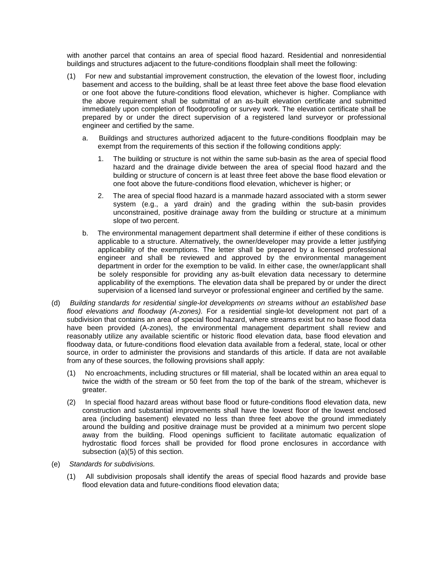with another parcel that contains an area of special flood hazard. Residential and nonresidential buildings and structures adjacent to the future-conditions floodplain shall meet the following:

- (1) For new and substantial improvement construction, the elevation of the lowest floor, including basement and access to the building, shall be at least three feet above the base flood elevation or one foot above the future-conditions flood elevation, whichever is higher. Compliance with the above requirement shall be submittal of an as-built elevation certificate and submitted immediately upon completion of floodproofing or survey work. The elevation certificate shall be prepared by or under the direct supervision of a registered land surveyor or professional engineer and certified by the same.
	- a. Buildings and structures authorized adjacent to the future-conditions floodplain may be exempt from the requirements of this section if the following conditions apply:
		- 1. The building or structure is not within the same sub-basin as the area of special flood hazard and the drainage divide between the area of special flood hazard and the building or structure of concern is at least three feet above the base flood elevation or one foot above the future-conditions flood elevation, whichever is higher; or
		- 2. The area of special flood hazard is a manmade hazard associated with a storm sewer system (e.g., a yard drain) and the grading within the sub-basin provides unconstrained, positive drainage away from the building or structure at a minimum slope of two percent.
	- b. The environmental management department shall determine if either of these conditions is applicable to a structure. Alternatively, the owner/developer may provide a letter justifying applicability of the exemptions. The letter shall be prepared by a licensed professional engineer and shall be reviewed and approved by the environmental management department in order for the exemption to be valid. In either case, the owner/applicant shall be solely responsible for providing any as-built elevation data necessary to determine applicability of the exemptions. The elevation data shall be prepared by or under the direct supervision of a licensed land surveyor or professional engineer and certified by the same.
- (d) *Building standards for residential single-lot developments on streams without an established base flood elevations and floodway (A-zones).* For a residential single-lot development not part of a subdivision that contains an area of special flood hazard, where streams exist but no base flood data have been provided (A-zones), the environmental management department shall review and reasonably utilize any available scientific or historic flood elevation data, base flood elevation and floodway data, or future-conditions flood elevation data available from a federal, state, local or other source, in order to administer the provisions and standards of this article. If data are not available from any of these sources, the following provisions shall apply:
	- (1) No encroachments, including structures or fill material, shall be located within an area equal to twice the width of the stream or 50 feet from the top of the bank of the stream, whichever is greater.
	- (2) In special flood hazard areas without base flood or future-conditions flood elevation data, new construction and substantial improvements shall have the lowest floor of the lowest enclosed area (including basement) elevated no less than three feet above the ground immediately around the building and positive drainage must be provided at a minimum two percent slope away from the building. Flood openings sufficient to facilitate automatic equalization of hydrostatic flood forces shall be provided for flood prone enclosures in accordance with subsection (a)(5) of this section.
- (e) *Standards for subdivisions.*
	- (1) All subdivision proposals shall identify the areas of special flood hazards and provide base flood elevation data and future-conditions flood elevation data;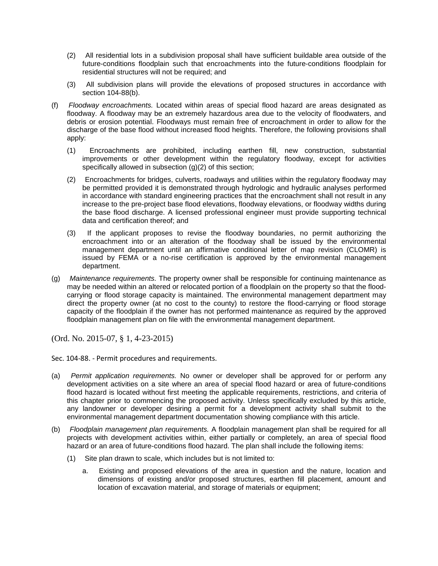- (2) All residential lots in a subdivision proposal shall have sufficient buildable area outside of the future-conditions floodplain such that encroachments into the future-conditions floodplain for residential structures will not be required; and
- (3) All subdivision plans will provide the elevations of proposed structures in accordance with section 104-88(b).
- (f) *Floodway encroachments.* Located within areas of special flood hazard are areas designated as floodway. A floodway may be an extremely hazardous area due to the velocity of floodwaters, and debris or erosion potential. Floodways must remain free of encroachment in order to allow for the discharge of the base flood without increased flood heights. Therefore, the following provisions shall apply:
	- (1) Encroachments are prohibited, including earthen fill, new construction, substantial improvements or other development within the regulatory floodway, except for activities specifically allowed in subsection (g)(2) of this section;
	- (2) Encroachments for bridges, culverts, roadways and utilities within the regulatory floodway may be permitted provided it is demonstrated through hydrologic and hydraulic analyses performed in accordance with standard engineering practices that the encroachment shall not result in any increase to the pre-project base flood elevations, floodway elevations, or floodway widths during the base flood discharge. A licensed professional engineer must provide supporting technical data and certification thereof; and
	- (3) If the applicant proposes to revise the floodway boundaries, no permit authorizing the encroachment into or an alteration of the floodway shall be issued by the environmental management department until an affirmative conditional letter of map revision (CLOMR) is issued by FEMA or a no-rise certification is approved by the environmental management department.
- (g) *Maintenance requirements.* The property owner shall be responsible for continuing maintenance as may be needed within an altered or relocated portion of a floodplain on the property so that the floodcarrying or flood storage capacity is maintained. The environmental management department may direct the property owner (at no cost to the county) to restore the flood-carrying or flood storage capacity of the floodplain if the owner has not performed maintenance as required by the approved floodplain management plan on file with the environmental management department.

Sec. 104-88. - Permit procedures and requirements.

- (a) *Permit application requirements.* No owner or developer shall be approved for or perform any development activities on a site where an area of special flood hazard or area of future-conditions flood hazard is located without first meeting the applicable requirements, restrictions, and criteria of this chapter prior to commencing the proposed activity. Unless specifically excluded by this article, any landowner or developer desiring a permit for a development activity shall submit to the environmental management department documentation showing compliance with this article.
- (b) *Floodplain management plan requirements.* A floodplain management plan shall be required for all projects with development activities within, either partially or completely, an area of special flood hazard or an area of future-conditions flood hazard. The plan shall include the following items:
	- (1) Site plan drawn to scale, which includes but is not limited to:
		- a. Existing and proposed elevations of the area in question and the nature, location and dimensions of existing and/or proposed structures, earthen fill placement, amount and location of excavation material, and storage of materials or equipment;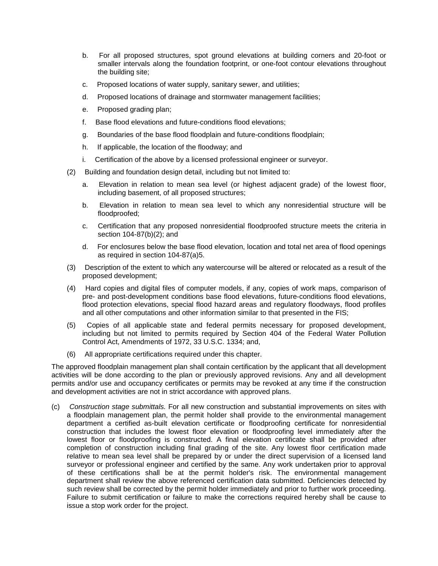- b. For all proposed structures, spot ground elevations at building corners and 20-foot or smaller intervals along the foundation footprint, or one-foot contour elevations throughout the building site;
- c. Proposed locations of water supply, sanitary sewer, and utilities;
- d. Proposed locations of drainage and stormwater management facilities;
- e. Proposed grading plan;
- f. Base flood elevations and future-conditions flood elevations;
- g. Boundaries of the base flood floodplain and future-conditions floodplain;
- h. If applicable, the location of the floodway; and
- i. Certification of the above by a licensed professional engineer or surveyor.
- (2) Building and foundation design detail, including but not limited to:
	- a. Elevation in relation to mean sea level (or highest adjacent grade) of the lowest floor, including basement, of all proposed structures;
	- b. Elevation in relation to mean sea level to which any nonresidential structure will be floodproofed;
	- c. Certification that any proposed nonresidential floodproofed structure meets the criteria in section 104-87(b)(2); and
	- d. For enclosures below the base flood elevation, location and total net area of flood openings as required in section 104-87(a)5.
- (3) Description of the extent to which any watercourse will be altered or relocated as a result of the proposed development;
- (4) Hard copies and digital files of computer models, if any, copies of work maps, comparison of pre- and post-development conditions base flood elevations, future-conditions flood elevations, flood protection elevations, special flood hazard areas and regulatory floodways, flood profiles and all other computations and other information similar to that presented in the FIS;
- (5) Copies of all applicable state and federal permits necessary for proposed development, including but not limited to permits required by Section 404 of the Federal Water Pollution Control Act, Amendments of 1972, 33 U.S.C. 1334; and,
- (6) All appropriate certifications required under this chapter.

The approved floodplain management plan shall contain certification by the applicant that all development activities will be done according to the plan or previously approved revisions. Any and all development permits and/or use and occupancy certificates or permits may be revoked at any time if the construction and development activities are not in strict accordance with approved plans.

(c) *Construction stage submittals.* For all new construction and substantial improvements on sites with a floodplain management plan, the permit holder shall provide to the environmental management department a certified as-built elevation certificate or floodproofing certificate for nonresidential construction that includes the lowest floor elevation or floodproofing level immediately after the lowest floor or floodproofing is constructed. A final elevation certificate shall be provided after completion of construction including final grading of the site. Any lowest floor certification made relative to mean sea level shall be prepared by or under the direct supervision of a licensed land surveyor or professional engineer and certified by the same. Any work undertaken prior to approval of these certifications shall be at the permit holder's risk. The environmental management department shall review the above referenced certification data submitted. Deficiencies detected by such review shall be corrected by the permit holder immediately and prior to further work proceeding. Failure to submit certification or failure to make the corrections required hereby shall be cause to issue a stop work order for the project.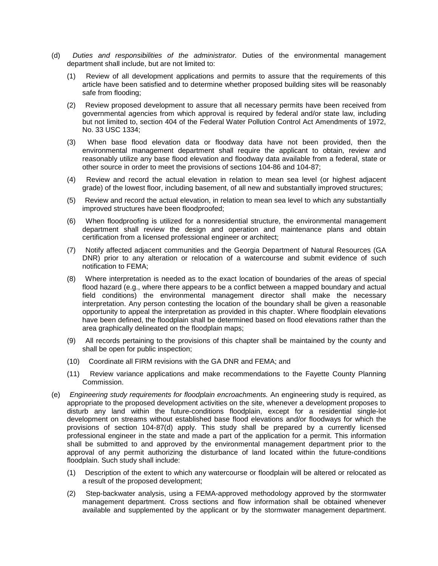- (d) *Duties and responsibilities of the administrator.* Duties of the environmental management department shall include, but are not limited to:
	- (1) Review of all development applications and permits to assure that the requirements of this article have been satisfied and to determine whether proposed building sites will be reasonably safe from flooding;
	- (2) Review proposed development to assure that all necessary permits have been received from governmental agencies from which approval is required by federal and/or state law, including but not limited to, section 404 of the Federal Water Pollution Control Act Amendments of 1972, No. 33 USC 1334;
	- (3) When base flood elevation data or floodway data have not been provided, then the environmental management department shall require the applicant to obtain, review and reasonably utilize any base flood elevation and floodway data available from a federal, state or other source in order to meet the provisions of sections 104-86 and 104-87;
	- (4) Review and record the actual elevation in relation to mean sea level (or highest adjacent grade) of the lowest floor, including basement, of all new and substantially improved structures;
	- (5) Review and record the actual elevation, in relation to mean sea level to which any substantially improved structures have been floodproofed;
	- (6) When floodproofing is utilized for a nonresidential structure, the environmental management department shall review the design and operation and maintenance plans and obtain certification from a licensed professional engineer or architect;
	- (7) Notify affected adjacent communities and the Georgia Department of Natural Resources (GA DNR) prior to any alteration or relocation of a watercourse and submit evidence of such notification to FEMA;
	- (8) Where interpretation is needed as to the exact location of boundaries of the areas of special flood hazard (e.g., where there appears to be a conflict between a mapped boundary and actual field conditions) the environmental management director shall make the necessary interpretation. Any person contesting the location of the boundary shall be given a reasonable opportunity to appeal the interpretation as provided in this chapter. Where floodplain elevations have been defined, the floodplain shall be determined based on flood elevations rather than the area graphically delineated on the floodplain maps;
	- (9) All records pertaining to the provisions of this chapter shall be maintained by the county and shall be open for public inspection;
	- (10) Coordinate all FIRM revisions with the GA DNR and FEMA; and
	- (11) Review variance applications and make recommendations to the Fayette County Planning Commission.
- (e) *Engineering study requirements for floodplain encroachments.* An engineering study is required, as appropriate to the proposed development activities on the site, whenever a development proposes to disturb any land within the future-conditions floodplain, except for a residential single-lot development on streams without established base flood elevations and/or floodways for which the provisions of section 104-87(d) apply. This study shall be prepared by a currently licensed professional engineer in the state and made a part of the application for a permit. This information shall be submitted to and approved by the environmental management department prior to the approval of any permit authorizing the disturbance of land located within the future-conditions floodplain. Such study shall include:
	- (1) Description of the extent to which any watercourse or floodplain will be altered or relocated as a result of the proposed development;
	- (2) Step-backwater analysis, using a FEMA-approved methodology approved by the stormwater management department. Cross sections and flow information shall be obtained whenever available and supplemented by the applicant or by the stormwater management department.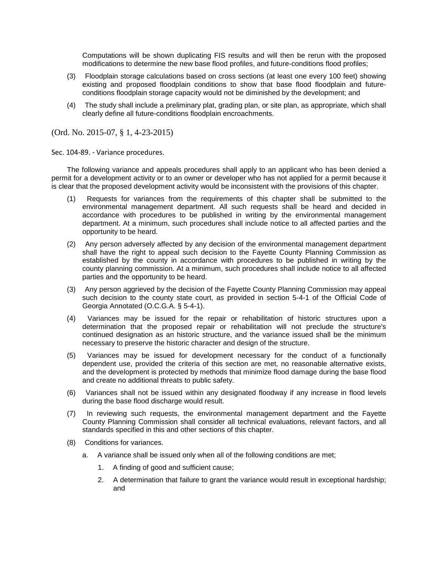Computations will be shown duplicating FIS results and will then be rerun with the proposed modifications to determine the new base flood profiles, and future-conditions flood profiles;

- (3) Floodplain storage calculations based on cross sections (at least one every 100 feet) showing existing and proposed floodplain conditions to show that base flood floodplain and futureconditions floodplain storage capacity would not be diminished by the development; and
- (4) The study shall include a preliminary plat, grading plan, or site plan, as appropriate, which shall clearly define all future-conditions floodplain encroachments.

(Ord. No. 2015-07, § 1, 4-23-2015)

Sec. 104-89. - Variance procedures.

The following variance and appeals procedures shall apply to an applicant who has been denied a permit for a development activity or to an owner or developer who has not applied for a permit because it is clear that the proposed development activity would be inconsistent with the provisions of this chapter.

- (1) Requests for variances from the requirements of this chapter shall be submitted to the environmental management department. All such requests shall be heard and decided in accordance with procedures to be published in writing by the environmental management department. At a minimum, such procedures shall include notice to all affected parties and the opportunity to be heard.
- (2) Any person adversely affected by any decision of the environmental management department shall have the right to appeal such decision to the Fayette County Planning Commission as established by the county in accordance with procedures to be published in writing by the county planning commission. At a minimum, such procedures shall include notice to all affected parties and the opportunity to be heard.
- (3) Any person aggrieved by the decision of the Fayette County Planning Commission may appeal such decision to the county state court, as provided in section 5-4-1 of the Official Code of Georgia Annotated (O.C.G.A. § 5-4-1).
- (4) Variances may be issued for the repair or rehabilitation of historic structures upon a determination that the proposed repair or rehabilitation will not preclude the structure's continued designation as an historic structure, and the variance issued shall be the minimum necessary to preserve the historic character and design of the structure.
- (5) Variances may be issued for development necessary for the conduct of a functionally dependent use, provided the criteria of this section are met, no reasonable alternative exists, and the development is protected by methods that minimize flood damage during the base flood and create no additional threats to public safety.
- (6) Variances shall not be issued within any designated floodway if any increase in flood levels during the base flood discharge would result.
- (7) In reviewing such requests, the environmental management department and the Fayette County Planning Commission shall consider all technical evaluations, relevant factors, and all standards specified in this and other sections of this chapter.
- (8) Conditions for variances.
	- a. A variance shall be issued only when all of the following conditions are met;
		- 1. A finding of good and sufficient cause;
		- 2. A determination that failure to grant the variance would result in exceptional hardship; and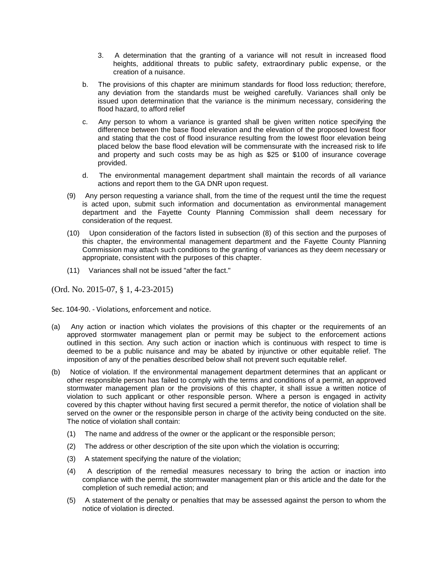- 3. A determination that the granting of a variance will not result in increased flood heights, additional threats to public safety, extraordinary public expense, or the creation of a nuisance.
- b. The provisions of this chapter are minimum standards for flood loss reduction; therefore, any deviation from the standards must be weighed carefully. Variances shall only be issued upon determination that the variance is the minimum necessary, considering the flood hazard, to afford relief
- c. Any person to whom a variance is granted shall be given written notice specifying the difference between the base flood elevation and the elevation of the proposed lowest floor and stating that the cost of flood insurance resulting from the lowest floor elevation being placed below the base flood elevation will be commensurate with the increased risk to life and property and such costs may be as high as \$25 or \$100 of insurance coverage provided.
- d. The environmental management department shall maintain the records of all variance actions and report them to the GA DNR upon request.
- (9) Any person requesting a variance shall, from the time of the request until the time the request is acted upon, submit such information and documentation as environmental management department and the Fayette County Planning Commission shall deem necessary for consideration of the request.
- (10) Upon consideration of the factors listed in subsection (8) of this section and the purposes of this chapter, the environmental management department and the Fayette County Planning Commission may attach such conditions to the granting of variances as they deem necessary or appropriate, consistent with the purposes of this chapter.
- (11) Variances shall not be issued "after the fact."

Sec. 104-90. - Violations, enforcement and notice.

- (a) Any action or inaction which violates the provisions of this chapter or the requirements of an approved stormwater management plan or permit may be subject to the enforcement actions outlined in this section. Any such action or inaction which is continuous with respect to time is deemed to be a public nuisance and may be abated by injunctive or other equitable relief. The imposition of any of the penalties described below shall not prevent such equitable relief.
- (b) Notice of violation. If the environmental management department determines that an applicant or other responsible person has failed to comply with the terms and conditions of a permit, an approved stormwater management plan or the provisions of this chapter, it shall issue a written notice of violation to such applicant or other responsible person. Where a person is engaged in activity covered by this chapter without having first secured a permit therefor, the notice of violation shall be served on the owner or the responsible person in charge of the activity being conducted on the site. The notice of violation shall contain:
	- (1) The name and address of the owner or the applicant or the responsible person;
	- (2) The address or other description of the site upon which the violation is occurring;
	- (3) A statement specifying the nature of the violation;
	- (4) A description of the remedial measures necessary to bring the action or inaction into compliance with the permit, the stormwater management plan or this article and the date for the completion of such remedial action; and
	- (5) A statement of the penalty or penalties that may be assessed against the person to whom the notice of violation is directed.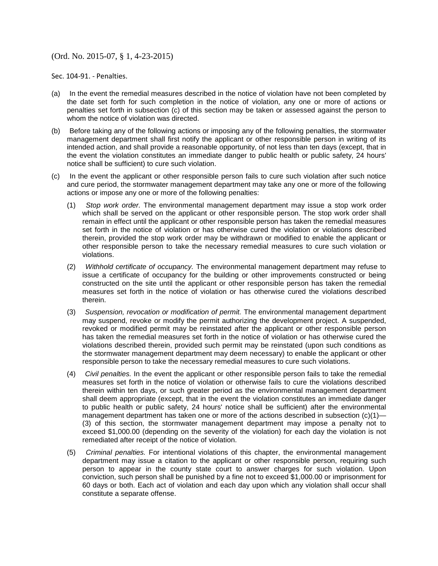Sec. 104-91. - Penalties.

- (a) In the event the remedial measures described in the notice of violation have not been completed by the date set forth for such completion in the notice of violation, any one or more of actions or penalties set forth in subsection (c) of this section may be taken or assessed against the person to whom the notice of violation was directed.
- (b) Before taking any of the following actions or imposing any of the following penalties, the stormwater management department shall first notify the applicant or other responsible person in writing of its intended action, and shall provide a reasonable opportunity, of not less than ten days (except, that in the event the violation constitutes an immediate danger to public health or public safety, 24 hours' notice shall be sufficient) to cure such violation.
- (c) In the event the applicant or other responsible person fails to cure such violation after such notice and cure period, the stormwater management department may take any one or more of the following actions or impose any one or more of the following penalties:
	- (1) *Stop work order.* The environmental management department may issue a stop work order which shall be served on the applicant or other responsible person. The stop work order shall remain in effect until the applicant or other responsible person has taken the remedial measures set forth in the notice of violation or has otherwise cured the violation or violations described therein, provided the stop work order may be withdrawn or modified to enable the applicant or other responsible person to take the necessary remedial measures to cure such violation or violations.
	- (2) *Withhold certificate of occupancy.* The environmental management department may refuse to issue a certificate of occupancy for the building or other improvements constructed or being constructed on the site until the applicant or other responsible person has taken the remedial measures set forth in the notice of violation or has otherwise cured the violations described therein.
	- (3) *Suspension, revocation or modification of permit.* The environmental management department may suspend, revoke or modify the permit authorizing the development project. A suspended, revoked or modified permit may be reinstated after the applicant or other responsible person has taken the remedial measures set forth in the notice of violation or has otherwise cured the violations described therein, provided such permit may be reinstated (upon such conditions as the stormwater management department may deem necessary) to enable the applicant or other responsible person to take the necessary remedial measures to cure such violations.
	- (4) *Civil penalties.* In the event the applicant or other responsible person fails to take the remedial measures set forth in the notice of violation or otherwise fails to cure the violations described therein within ten days, or such greater period as the environmental management department shall deem appropriate (except, that in the event the violation constitutes an immediate danger to public health or public safety, 24 hours' notice shall be sufficient) after the environmental management department has taken one or more of the actions described in subsection  $(c)(1)$ — (3) of this section, the stormwater management department may impose a penalty not to exceed \$1,000.00 (depending on the severity of the violation) for each day the violation is not remediated after receipt of the notice of violation.
	- (5) *Criminal penalties.* For intentional violations of this chapter, the environmental management department may issue a citation to the applicant or other responsible person, requiring such person to appear in the county state court to answer charges for such violation. Upon conviction, such person shall be punished by a fine not to exceed \$1,000.00 or imprisonment for 60 days or both. Each act of violation and each day upon which any violation shall occur shall constitute a separate offense.